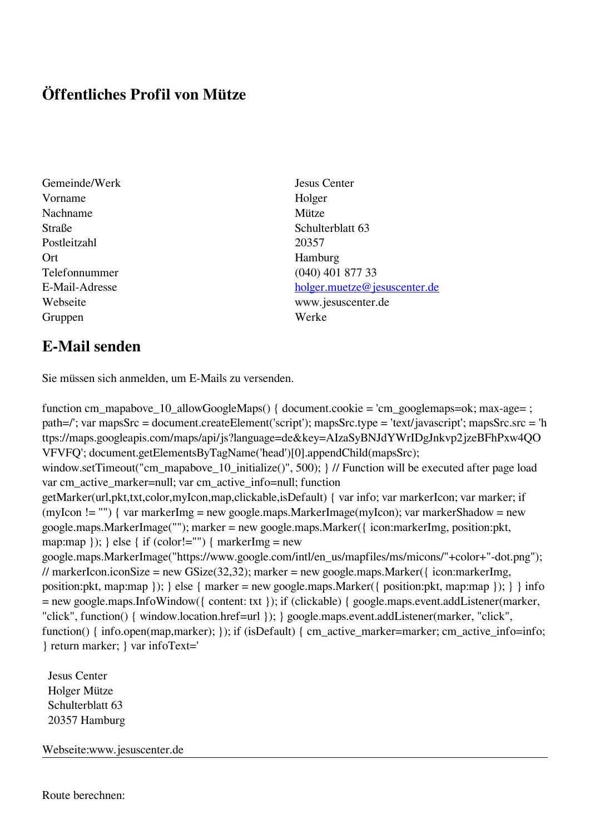## **Öffentliches Profil von Mütze**

- Gemeinde/Werk Jesus Center Vorname Holger Nachname Mütze Straße Schulterblatt 63 Postleitzahl 20357 Ort Hamburg Gruppen Werke
- Telefonnummer (040) 401 877 33 E-Mail-Adresse [holger.muetze@jesuscenter.de](mailto:holger.muetze@jesuscenter.de) Webseite www.jesuscenter.de

## **E-Mail senden**

Sie müssen sich anmelden, um E-Mails zu versenden.

function cm\_mapabove\_10\_allowGoogleMaps() { document.cookie = 'cm\_googlemaps=ok; max-age= ; path=/'; var mapsSrc = document.createElement('script'); mapsSrc.type = 'text/javascript'; mapsSrc.src = 'h ttps://maps.googleapis.com/maps/api/js?language=de&key=AIzaSyBNJdYWrIDgJnkvp2jzeBFhPxw4QO VFVFQ'; document.getElementsByTagName('head')[0].appendChild(mapsSrc); window.setTimeout("cm\_mapabove\_10\_initialize()", 500); } // Function will be executed after page load var cm\_active\_marker=null; var cm\_active\_info=null; function getMarker(url,pkt,txt,color,myIcon,map,clickable,isDefault) { var info; var markerIcon; var marker; if (myIcon != "") { var markerImg = new google.maps.MarkerImage(myIcon); var markerShadow = new google.maps.MarkerImage(""); marker = new google.maps.Marker({ icon:markerImg, position:pkt, map:map  $\}$ ;  $\}$  else  $\{$  if (color!="")  $\{$  markerImg = new google.maps.MarkerImage("https://www.google.com/intl/en\_us/mapfiles/ms/micons/"+color+"-dot.png"); // markerIcon.iconSize = new GSize(32,32); marker = new google.maps.Marker({ $i$ con:markerImg, position:pkt, map:map }); } else { marker = new google.maps.Marker({ position:pkt, map:map }); } } info = new google.maps.InfoWindow({ content: txt }); if (clickable) { google.maps.event.addListener(marker, "click", function() { window.location.href=url }); } google.maps.event.addListener(marker, "click", function() { info.open(map,marker); }); if (isDefault) { cm\_active\_marker=marker; cm\_active\_info=info; } return marker; } var infoText='

 Jesus Center Holger Mütze Schulterblatt 63 20357 Hamburg

Webseite:www.jesuscenter.de